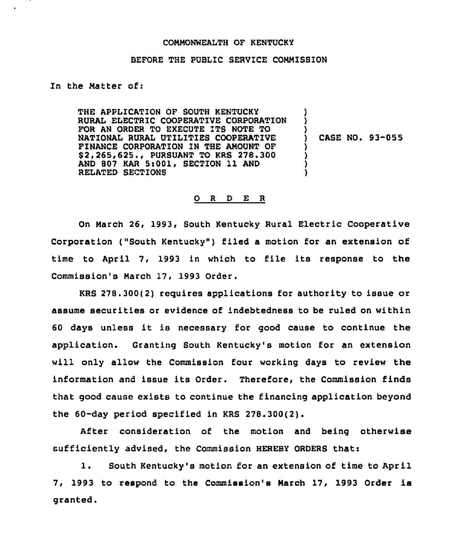## COMMONWEALTH OF KENTUCKY

## BEFORE THE PUBLIC SERVICE COMMISBION

In the Matter of:

THE APPLICATION OF SOUTH KENTUCKY RURAL ELECTRIC COOPERATIVE CORPORATION FOR AN ORDER TO EXECUTE ITS NOTE TO NATIONAL RURAL UTILITIEB COOPERATIVE FINANCE CORPORATION IN THE AMOUNT OF \$ 2,265,625., PURSUANT TO KRS 278.300 AND 807 KAR 5:001, SECTION 11 AND RELATED SECTIONS ) ) ) ) CASE NO. 93-055 ) ) ) )

## O R D E R

On March 26, 1993, South Kentucky Rural Electric Cooperative Corporation ("South Kentucky") filed a motion for an extension of time to April 7, 1993 in which to file its response to the Commission's March 17, 1993 Order.

KRS 278.300(2) requires applications for authority to issue or assume securities or evidence of indebtedness to be ruled on within <sup>60</sup> days unless it is necessary for good cause to continue the application. Granting South Kentucky's motion for an extension will only allow the Commission four working days to review the information and issue its Order. Therefore, the Commission finds that good cause exists to continue the financing application beyond the 60-day period specified in KRS 278.300{2).

After consideration of the motion and being otherwise sufficiently advised, the Commission HEREBY ORDERS that:

1. South Kentucky's motion for an extension of time to April 7, 1993 to respond to the Commission's March 17, 1993 Order is granted.